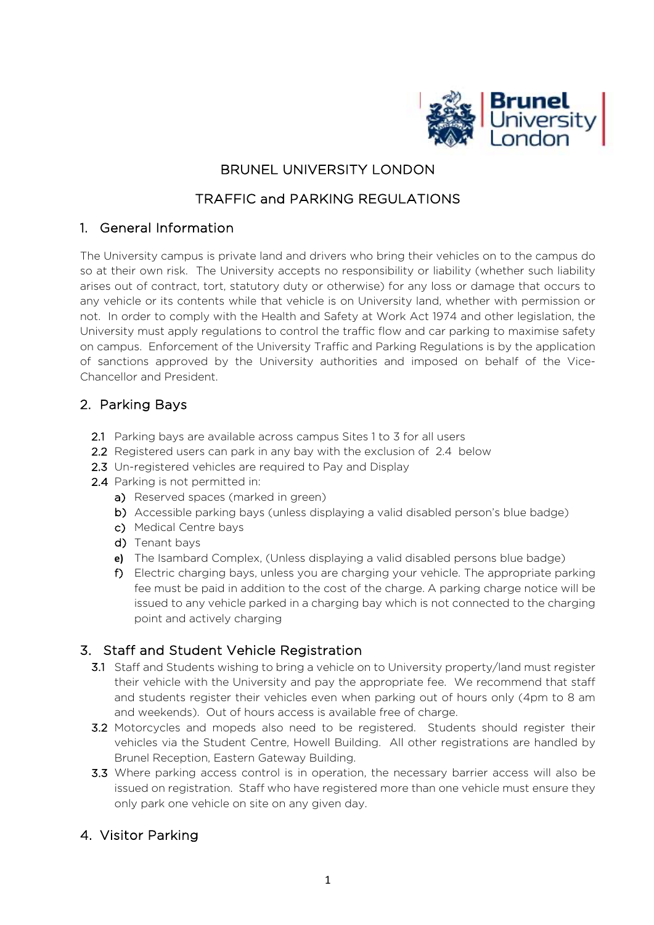

## BRUNEL UNIVERSITY LONDON

## TRAFFIC and PARKING REGULATIONS

#### 1. General Information

The University campus is private land and drivers who bring their vehicles on to the campus do so at their own risk. The University accepts no responsibility or liability (whether such liability arises out of contract, tort, statutory duty or otherwise) for any loss or damage that occurs to any vehicle or its contents while that vehicle is on University land, whether with permission or not. In order to comply with the Health and Safety at Work Act 1974 and other legislation, the University must apply regulations to control the traffic flow and car parking to maximise safety on campus. Enforcement of the University Traffic and Parking Regulations is by the application of sanctions approved by the University authorities and imposed on behalf of the Vice-Chancellor and President.

### 2. Parking Bays

- 2.1 Parking bays are available across campus Sites 1 to 3 for all users
- 2.2 Registered users can park in any bay with the exclusion of 2.4 below
- 2.3 Un-registered vehicles are required to Pay and Display
- 2.4 Parking is not permitted in:
	- a) Reserved spaces (marked in green)
	- b) Accessible parking bays (unless displaying a valid disabled person's blue badge)
	- c) Medical Centre bays
	- d) Tenant bays
	- **e)** The Isambard Complex, (Unless displaying a valid disabled persons blue badge)
	- f) Electric charging bays, unless you are charging your vehicle. The appropriate parking fee must be paid in addition to the cost of the charge. A parking charge notice will be issued to any vehicle parked in a charging bay which is not connected to the charging point and actively charging

# 3. Staff and Student Vehicle Registration

- 3.1 Staff and Students wishing to bring a vehicle on to University property/land must register their vehicle with the University and pay the appropriate fee. We recommend that staff and students register their vehicles even when parking out of hours only (4pm to 8 am and weekends). Out of hours access is available free of charge.
- 3.2 Motorcycles and mopeds also need to be registered. Students should register their vehicles via the Student Centre, Howell Building. All other registrations are handled by Brunel Reception, Eastern Gateway Building.
- 3.3 Where parking access control is in operation, the necessary barrier access will also be issued on registration. Staff who have registered more than one vehicle must ensure they only park one vehicle on site on any given day.

# 4. Visitor Parking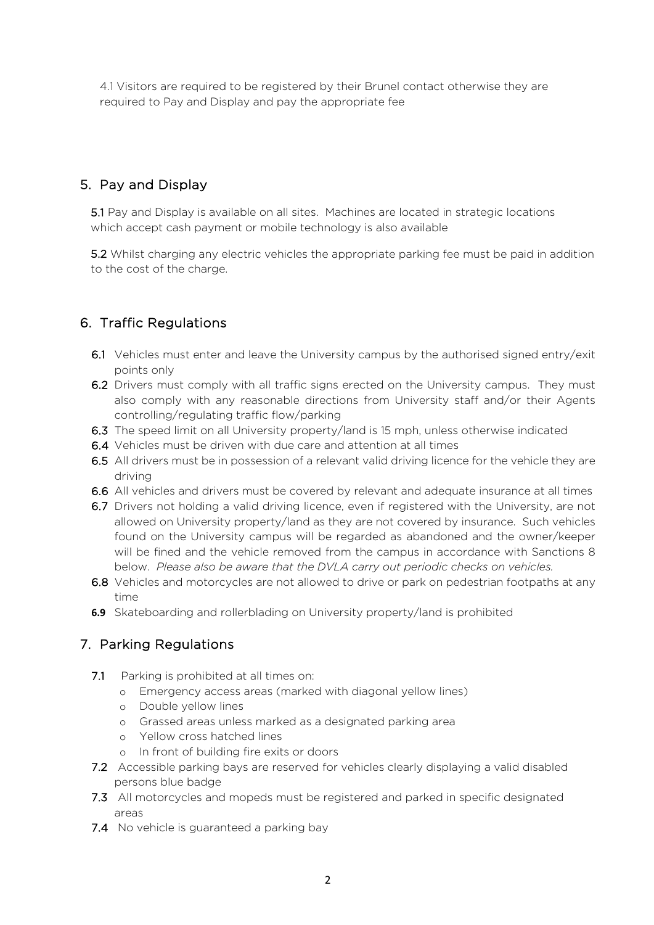4.1 Visitors are required to be registered by their Brunel contact otherwise they are required to Pay and Display and pay the appropriate fee

# 5. Pay and Display

5.1 Pay and Display is available on all sites. Machines are located in strategic locations which accept cash payment or mobile technology is also available

5.2 Whilst charging any electric vehicles the appropriate parking fee must be paid in addition to the cost of the charge.

# 6. Traffic Regulations

- 6.1 Vehicles must enter and leave the University campus by the authorised signed entry/exit points only
- 6.2 Drivers must comply with all traffic signs erected on the University campus. They must also comply with any reasonable directions from University staff and/or their Agents controlling/regulating traffic flow/parking
- 6.3 The speed limit on all University property/land is 15 mph, unless otherwise indicated
- 6.4 Vehicles must be driven with due care and attention at all times
- 6.5 All drivers must be in possession of a relevant valid driving licence for the vehicle they are driving
- 6.6 All vehicles and drivers must be covered by relevant and adequate insurance at all times
- 6.7 Drivers not holding a valid driving licence, even if registered with the University, are not allowed on University property/land as they are not covered by insurance. Such vehicles found on the University campus will be regarded as abandoned and the owner/keeper will be fined and the vehicle removed from the campus in accordance with Sanctions 8 below. *Please also be aware that the DVLA carry out periodic checks on vehicles.*
- 6.8 Vehicles and motorcycles are not allowed to drive or park on pedestrian footpaths at any time
- **6.9** Skateboarding and rollerblading on University property/land is prohibited

# 7. Parking Regulations

- 7.1 Parking is prohibited at all times on:
	- o Emergency access areas (marked with diagonal yellow lines)
	- o Double yellow lines
	- o Grassed areas unless marked as a designated parking area
	- o Yellow cross hatched lines
	- o In front of building fire exits or doors
- 7.2 Accessible parking bays are reserved for vehicles clearly displaying a valid disabled persons blue badge
- 7.3 All motorcycles and mopeds must be registered and parked in specific designated areas
- 7.4 No vehicle is guaranteed a parking bay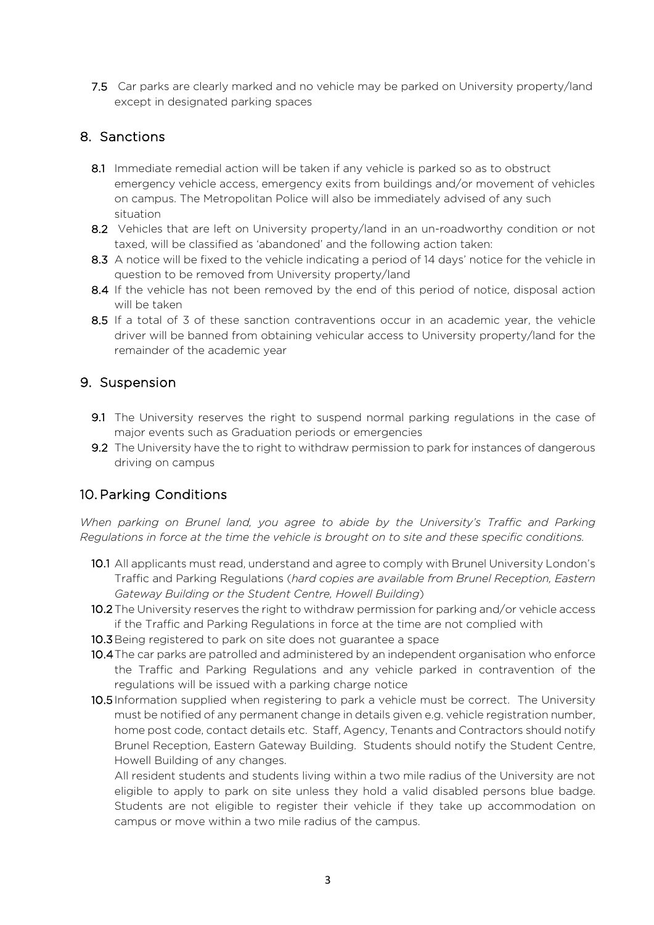7.5 Car parks are clearly marked and no vehicle may be parked on University property/land except in designated parking spaces

## 8. Sanctions

- 8.1 Immediate remedial action will be taken if any vehicle is parked so as to obstruct emergency vehicle access, emergency exits from buildings and/or movement of vehicles on campus. The Metropolitan Police will also be immediately advised of any such situation
- 8.2 Vehicles that are left on University property/land in an un-roadworthy condition or not taxed, will be classified as 'abandoned' and the following action taken:
- 8.3 A notice will be fixed to the vehicle indicating a period of 14 days' notice for the vehicle in question to be removed from University property/land
- 8.4 If the vehicle has not been removed by the end of this period of notice, disposal action will be taken
- 8.5 If a total of 3 of these sanction contraventions occur in an academic year, the vehicle driver will be banned from obtaining vehicular access to University property/land for the remainder of the academic year

## 9. Suspension

- 9.1 The University reserves the right to suspend normal parking regulations in the case of major events such as Graduation periods or emergencies
- 9.2 The University have the to right to withdraw permission to park for instances of dangerous driving on campus

# 10. Parking Conditions

*When parking on Brunel land, you agree to abide by the University's Traffic and Parking Regulations in force at the time the vehicle is brought on to site and these specific conditions.*

- 10.1 All applicants must read, understand and agree to comply with Brunel University London's Traffic and Parking Regulations (*hard copies are available from Brunel Reception, Eastern Gateway Building or the Student Centre, Howell Building*)
- 10.2 The University reserves the right to withdraw permission for parking and/or vehicle access if the Traffic and Parking Regulations in force at the time are not complied with
- 10.3 Being registered to park on site does not guarantee a space
- 10.4The car parks are patrolled and administered by an independent organisation who enforce the Traffic and Parking Regulations and any vehicle parked in contravention of the regulations will be issued with a parking charge notice
- 10.5 Information supplied when registering to park a vehicle must be correct. The University must be notified of any permanent change in details given e.g. vehicle registration number, home post code, contact details etc. Staff, Agency, Tenants and Contractors should notify Brunel Reception, Eastern Gateway Building. Students should notify the Student Centre, Howell Building of any changes.

All resident students and students living within a two mile radius of the University are not eligible to apply to park on site unless they hold a valid disabled persons blue badge. Students are not eligible to register their vehicle if they take up accommodation on campus or move within a two mile radius of the campus.